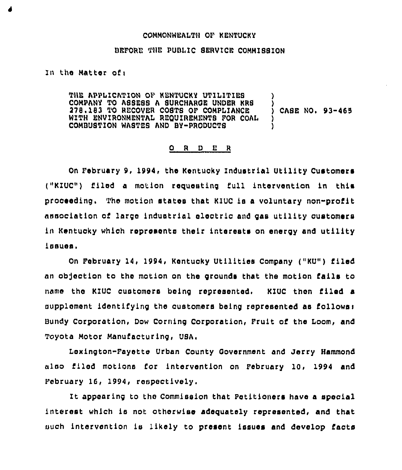## COMMONWEALTH OF KENTUCKY

## BEFORE THE PUBLIC SERVICE COMMISSION

## In the Matter of:

THE APPLICArION OF KENTUCKY UTILITIES COMPANY TO ASBESB A SURCHAROE UNDER KRS 278.183 TO RECOVER COSTS OF COMPLIANCE WITH ENVIRONMENTAL REOUIREMENTS FOR COAL COMBUST1ON WASTES AND BY-PRODUCTS ) ) CASE NO. 93-465 ) )

## 0 <sup>R</sup> <sup>D</sup> <sup>E</sup> <sup>R</sup>

On February 9, 1994, the Kentucky Industrial Utility Customers ("KIUC") filed a motion requesting full intervention in this proceeding. The motion states that KIUC is a voluntary non-profit association of largo industrial electric and gas utility customers ln Kentucky whioh represents their interests on energy and utility lsaues.

On February 14, 1994, Kentuoky Utilities Company ("KU") filed an ob3ectlon to the motion on tho grounds that the motion falls to name tho KIUC customers being represonted. KIUC then tiled a supplement identifying the customers being represented as follows: Bundy Corporation, Dow Corning Corporation, Fruit of the Loom, and Toyota Motor Manufacturing, USA.

Lexington-Fayetto Urban County Qovernment and Jerry Hammond also filed motions for intervention on February 10, 1994 and February 16, 1994, respectively.

It appearing to the Commission that Petitioners have a special interest which ls not otherwise adequately represented, and that such intervention is likely to present issues and develop facts